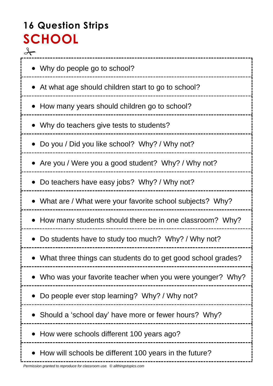# **16 Question Strips SCHOOL**  $\rightarrow$

| • Why do people go to school?                                |
|--------------------------------------------------------------|
| • At what age should children start to go to school?         |
| • How many years should children go to school?               |
| • Why do teachers give tests to students?                    |
| • Do you / Did you like school? Why? / Why not?              |
| • Are you / Were you a good student? Why? / Why not?         |
| • Do teachers have easy jobs? Why? / Why not?                |
| • What are / What were your favorite school subjects? Why?   |
| • How many students should there be in one classroom? Why?   |
| Do students have to study too much? Why? / Why not?          |
| What three things can students do to get good school grades? |
| Who was your favorite teacher when you were younger? Why?    |
| Do people ever stop learning? Why? / Why not?                |
| Should a 'school day' have more or fewer hours? Why?         |
| How were schools different 100 years ago?                    |
| How will schools be different 100 years in the future?       |